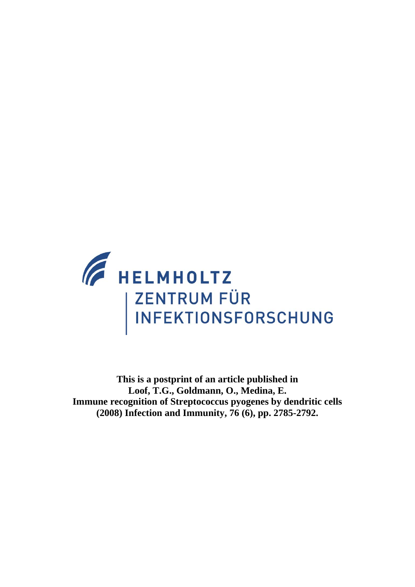

**This is a postprint of an article published in Loof, T.G., Goldmann, O., Medina, E. Immune recognition of Streptococcus pyogenes by dendritic cells (2008) Infection and Immunity, 76 (6), pp. 2785-2792.**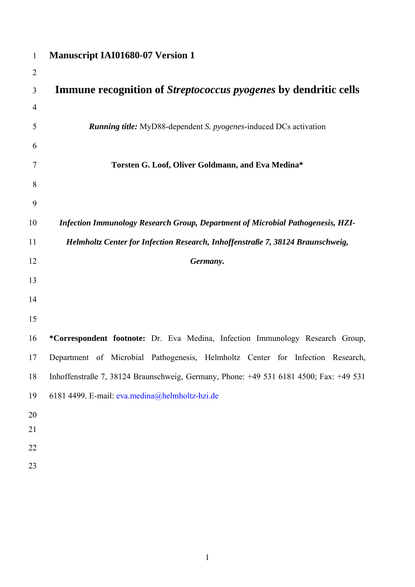| $\mathbf{1}$   | <b>Manuscript IAI01680-07 Version 1</b>                                               |
|----------------|---------------------------------------------------------------------------------------|
| $\overline{2}$ |                                                                                       |
| 3              | <b>Immune recognition of Streptococcus pyogenes by dendritic cells</b>                |
| $\overline{4}$ |                                                                                       |
| 5              | <b>Running title:</b> MyD88-dependent S. <i>pyogenes</i> -induced DCs activation      |
| 6              |                                                                                       |
| 7              | Torsten G. Loof, Oliver Goldmann, and Eva Medina*                                     |
| 8              |                                                                                       |
| 9              |                                                                                       |
| 10             | Infection Immunology Research Group, Department of Microbial Pathogenesis, HZI-       |
| 11             | Helmholtz Center for Infection Research, Inhoffenstraße 7, 38124 Braunschweig,        |
| 12             | Germany.                                                                              |
| 13             |                                                                                       |
| 14             |                                                                                       |
| 15             |                                                                                       |
| 16             | *Correspondent footnote: Dr. Eva Medina, Infection Immunology Research Group,         |
| 17             | Department of Microbial Pathogenesis, Helmholtz Center for Infection Research,        |
| 18             | Inhoffenstraße 7, 38124 Braunschweig, Germany, Phone: +49 531 6181 4500; Fax: +49 531 |
| 19             | 6181 4499. E-mail: eva.medina@helmholtz-hzi.de                                        |
| 20             |                                                                                       |
| 21             |                                                                                       |
| 22             |                                                                                       |
| 23             |                                                                                       |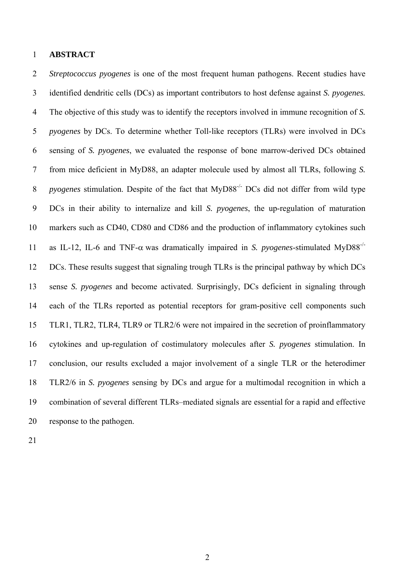### 1 **ABSTRACT**

2 *Streptococcus pyogenes* is one of the most frequent human pathogens. Recent studies have 3 identified dendritic cells (DCs) as important contributors to host defense against *S. pyogenes.*  4 The objective of this study was to identify the receptors involved in immune recognition of *S.*  5 *pyogenes* by DCs. To determine whether Toll-like receptors (TLRs) were involved in DCs 6 sensing of *S. pyogenes*, we evaluated the response of bone marrow-derived DCs obtained 7 from mice deficient in MyD88, an adapter molecule used by almost all TLRs, following *S.*  8 *pyogenes* stimulation. Despite of the fact that MyD88<sup>-/-</sup> DCs did not differ from wild type 9 DCs in their ability to internalize and kill *S. pyogenes*, the up-regulation of maturation 10 markers such as CD40, CD80 and CD86 and the production of inflammatory cytokines such 11 as IL-12, IL-6 and TNF- $\alpha$  was dramatically impaired in *S. pyogenes*-stimulated MyD88<sup>-/-</sup> 12 DCs. These results suggest that signaling trough TLRs is the principal pathway by which DCs 13 sense *S. pyogenes* and become activated. Surprisingly, DCs deficient in signaling through 14 each of the TLRs reported as potential receptors for gram-positive cell components such 15 TLR1, TLR2, TLR4, TLR9 or TLR2/6 were not impaired in the secretion of proinflammatory 16 cytokines and up-regulation of costimulatory molecules after *S. pyogenes* stimulation. In 17 conclusion, our results excluded a major involvement of a single TLR or the heterodimer 18 TLR2/6 in *S. pyogenes* sensing by DCs and argue for a multimodal recognition in which a 19 combination of several different TLRs–mediated signals are essential for a rapid and effective 20 response to the pathogen.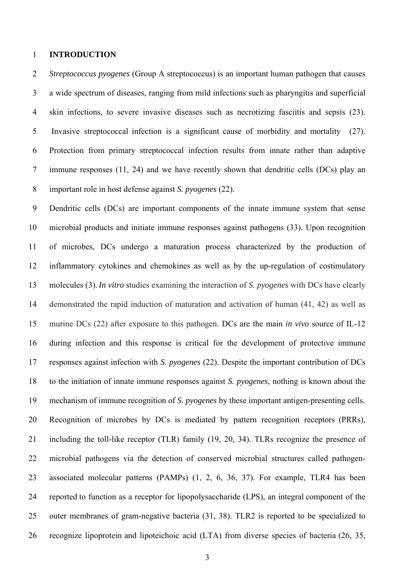### 1 **INTRODUCTION**

2 *Streptococcus pyogenes* (Group A streptococcus) is an important human pathogen that causes 3 a wide spectrum of diseases, ranging from mild infections such as pharyngitis and superficial 4 skin infections, to severe invasive diseases such as necrotizing fasciitis and sepsis (23). 5 Invasive streptococcal infection is a significant cause of morbidity and mortality (27). 6 Protection from primary streptococcal infection results from innate rather than adaptive 7 immune responses (11, 24) and we have recently shown that dendritic cells (DCs) play an 8 important role in host defense against *S. pyogenes* (22).

9 Dendritic cells (DCs) are important components of the innate immune system that sense 10 microbial products and initiate immune responses against pathogens (33). Upon recognition 11 of microbes, DCs undergo a maturation process characterized by the production of 12 inflammatory cytokines and chemokines as well as by the up-regulation of costimulatory 13 molecules (3). *In vitro* studies examining the interaction of *S. pyogenes* with DCs have clearly 14 demonstrated the rapid induction of maturation and activation of human (41, 42) as well as 15 murine DCs (22) after exposure to this pathogen. DCs are the main *in vivo* source of IL-12 16 during infection and this response is critical for the development of protective immune 17 responses against infection with *S. pyogenes* (22). Despite the important contribution of DCs 18 to the initiation of innate immune responses against *S. pyogenes*, nothing is known about the 19 mechanism of immune recognition of *S. pyogenes* by these important antigen-presenting cells. 20 Recognition of microbes by DCs is mediated by pattern recognition receptors (PRRs), 21 including the toll-like receptor (TLR) family (19, 20, 34). TLRs recognize the presence of 22 microbial pathogens via the detection of conserved microbial structures called pathogen-23 associated molecular patterns (PAMPs) (1, 2, 6, 36, 37). For example, TLR4 has been 24 reported to function as a receptor for lipopolysaccharide (LPS), an integral component of the 25 outer membranes of gram-negative bacteria (31, 38). TLR2 is reported to be specialized to 26 recognize lipoprotein and lipoteichoic acid (LTA) from diverse species of bacteria (26, 35,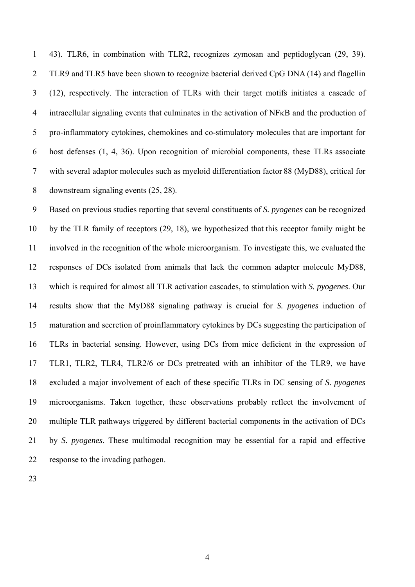1 43). TLR6, in combination with TLR2, recognizes zymosan and peptidoglycan (29, 39). 2 TLR9 and TLR5 have been shown to recognize bacterial derived CpG DNA (14) and flagellin 3 (12), respectively. The interaction of TLRs with their target motifs initiates a cascade of 4 intracellular signaling events that culminates in the activation of NFκB and the production of 5 pro-inflammatory cytokines, chemokines and co-stimulatory molecules that are important for 6 host defenses (1, 4, 36). Upon recognition of microbial components, these TLRs associate 7 with several adaptor molecules such as myeloid differentiation factor 88 (MyD88), critical for 8 downstream signaling events (25, 28).

9 Based on previous studies reporting that several constituents of *S. pyogenes* can be recognized 10 by the TLR family of receptors (29, 18), we hypothesized that this receptor family might be 11 involved in the recognition of the whole microorganism. To investigate this, we evaluated the 12 responses of DCs isolated from animals that lack the common adapter molecule MyD88, 13 which is required for almost all TLR activation cascades, to stimulation with *S. pyogenes*. Our 14 results show that the MyD88 signaling pathway is crucial for *S. pyogenes* induction of 15 maturation and secretion of proinflammatory cytokines by DCs suggesting the participation of 16 TLRs in bacterial sensing. However, using DCs from mice deficient in the expression of 17 TLR1, TLR2, TLR4, TLR2/6 or DCs pretreated with an inhibitor of the TLR9, we have 18 excluded a major involvement of each of these specific TLRs in DC sensing of *S. pyogenes* 19 microorganisms. Taken together, these observations probably reflect the involvement of 20 multiple TLR pathways triggered by different bacterial components in the activation of DCs 21 by *S. pyogenes*. These multimodal recognition may be essential for a rapid and effective 22 response to the invading pathogen.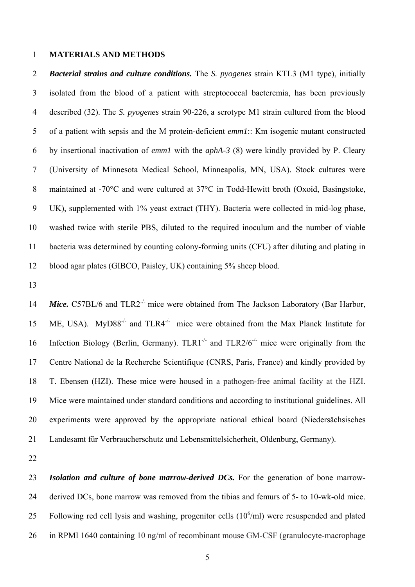### 1 **MATERIALS AND METHODS**

2 *Bacterial strains and culture conditions.* The *S. pyogenes* strain KTL3 (M1 type), initially 3 isolated from the blood of a patient with streptococcal bacteremia, has been previously 4 described (32). The *S. pyogenes* strain 90-226, a serotype M1 strain cultured from the blood 5 of a patient with sepsis and the M protein-deficient *emm1*:: Km isogenic mutant constructed 6 by insertional inactivation of *emm1* with the *aphA-3* (8) were kindly provided by P. Cleary 7 (University of Minnesota Medical School, Minneapolis, MN, USA). Stock cultures were 8 maintained at -70°C and were cultured at 37°C in Todd-Hewitt broth (Oxoid, Basingstoke, 9 UK), supplemented with 1% yeast extract (THY). Bacteria were collected in mid-log phase, 10 washed twice with sterile PBS, diluted to the required inoculum and the number of viable 11 bacteria was determined by counting colony-forming units (CFU) after diluting and plating in 12 blood agar plates (GIBCO, Paisley, UK) containing 5% sheep blood.

13

14 *Mice.* C57BL/6 and TLR2<sup>-/-</sup> mice were obtained from The Jackson Laboratory (Bar Harbor, 15 ME, USA). MyD88<sup>-/-</sup> and TLR4<sup>-/-</sup> mice were obtained from the Max Planck Institute for 16 Infection Biology (Berlin, Germany).  $TLR1^{-/-}$  and  $TLR2/6^{-/-}$  mice were originally from the 17 Centre National de la Recherche Scientifique (CNRS, Paris, France) and kindly provided by 18 T. Ebensen (HZI). These mice were housed in a pathogen-free animal facility at the HZI. 19 Mice were maintained under standard conditions and according to institutional guidelines. All 20 experiments were approved by the appropriate national ethical board (Niedersächsisches 21 Landesamt für Verbraucherschutz und Lebensmittelsicherheit, Oldenburg, Germany).

22

23 *Isolation and culture of bone marrow-derived DCs.* For the generation of bone marrow-24 derived DCs, bone marrow was removed from the tibias and femurs of 5- to 10-wk-old mice. 25 Following red cell lysis and washing, progenitor cells  $(10^6/\text{ml})$  were resuspended and plated 26 in RPMI 1640 containing 10 ng/ml of recombinant mouse GM-CSF (granulocyte-macrophage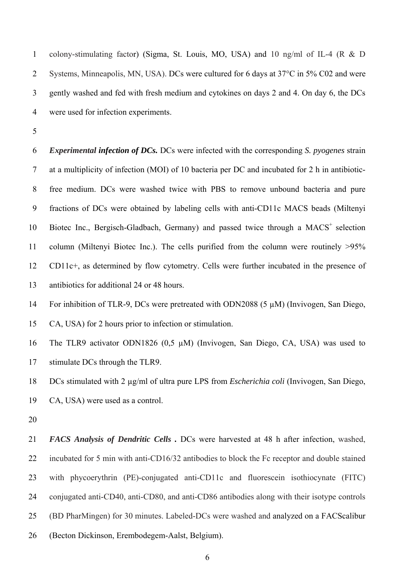1 colony-stimulating factor) (Sigma, St. Louis, MO, USA) and 10 ng/ml of IL-4 (R & D 2 Systems, Minneapolis, MN, USA). DCs were cultured for 6 days at 37°C in 5% C02 and were 3 gently washed and fed with fresh medium and cytokines on days 2 and 4. On day 6, the DCs 4 were used for infection experiments.

5

6 *Experimental infection of DCs.* DCs were infected with the corresponding *S. pyogenes* strain 7 at a multiplicity of infection (MOI) of 10 bacteria per DC and incubated for 2 h in antibiotic-8 free medium. DCs were washed twice with PBS to remove unbound bacteria and pure 9 fractions of DCs were obtained by labeling cells with anti-CD11c MACS beads (Miltenyi 10 Biotec Inc., Bergisch-Gladbach, Germany) and passed twice through a  $MACS<sup>+</sup>$  selection 11 column (Miltenyi Biotec Inc.). The cells purified from the column were routinely >95% 12 CD11c+, as determined by flow cytometry. Cells were further incubated in the presence of 13 antibiotics for additional 24 or 48 hours.

14 For inhibition of TLR-9, DCs were pretreated with ODN2088 (5 µM) (Invivogen, San Diego,

15 CA, USA) for 2 hours prior to infection or stimulation.

16 The TLR9 activator ODN1826 (0,5 µM) (Invivogen, San Diego, CA, USA) was used to 17 stimulate DCs through the TLR9.

18 DCs stimulated with 2 µg/ml of ultra pure LPS from *Escherichia coli* (Invivogen, San Diego, 19 CA, USA) were used as a control.

20

21 *FACS Analysis of Dendritic Cells .* DCs were harvested at 48 h after infection, washed, 22 incubated for 5 min with anti-CD16/32 antibodies to block the Fc receptor and double stained 23 with phycoerythrin (PE)-conjugated anti-CD11c and fluorescein isothiocynate (FITC) 24 conjugated anti-CD40, anti-CD80, and anti-CD86 antibodies along with their isotype controls 25 (BD PharMingen) for 30 minutes. Labeled-DCs were washed and analyzed on a FACScalibur 26 (Becton Dickinson, Erembodegem-Aalst, Belgium).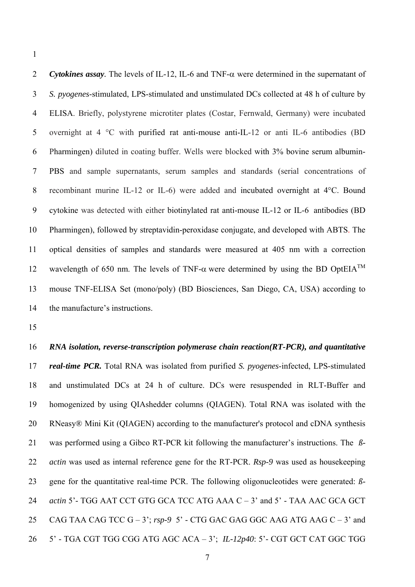1

2 *Cytokines assay.* The levels of IL-12, IL-6 and TNF-α were determined in the supernatant of 3 *S. pyogenes*-stimulated, LPS-stimulated and unstimulated DCs collected at 48 h of culture by 4 ELISA. Briefly, polystyrene microtiter plates (Costar, Fernwald, Germany) were incubated 5 overnight at 4 °C with purified rat anti-mouse anti-IL-12 or anti IL-6 antibodies (BD 6 Pharmingen) diluted in coating buffer. Wells were blocked with 3% bovine serum albumin-7 PBS and sample supernatants, serum samples and standards (serial concentrations of 8 recombinant murine IL-12 or IL-6) were added and incubated overnight at 4°C. Bound 9 cytokine was detected with either biotinylated rat anti-mouse IL-12 or IL-6 antibodies (BD 10 Pharmingen), followed by streptavidin-peroxidase conjugate, and developed with ABTS. The 11 optical densities of samples and standards were measured at 405 nm with a correction 12 wavelength of 650 nm. The levels of TNF- $\alpha$  were determined by using the BD OptEIA<sup>TM</sup> 13 mouse TNF-ELISA Set (mono/poly) (BD Biosciences, San Diego, CA, USA) according to 14 the manufacture's instructions.

15

16 *RNA isolation, reverse-transcription polymerase chain reaction(RT-PCR), and quantitative*  17 *real-time PCR.* Total RNA was isolated from purified *S. pyogenes*-infected, LPS-stimulated 18 and unstimulated DCs at 24 h of culture. DCs were resuspended in RLT-Buffer and 19 homogenized by using QIAshedder columns (QIAGEN). Total RNA was isolated with the 20 RNeasy® Mini Kit (QIAGEN) according to the manufacturer's protocol and cDNA synthesis 21 was performed using a Gibco RT-PCR kit following the manufacturer's instructions. The *ß-*22 *actin* was used as internal reference gene for the RT-PCR. *Rsp-9* was used as housekeeping 23 gene for the quantitative real-time PCR. The following oligonucleotides were generated: *ß-*24 *actin* 5'- TGG AAT CCT GTG GCA TCC ATG AAA C – 3' and 5' - TAA AAC GCA GCT 25 CAG TAA CAG TCC G – 3'; *rsp-9* 5' - CTG GAC GAG GGC AAG ATG AAG C – 3' and 26 5' - TGA CGT TGG CGG ATG AGC ACA – 3'; *IL-12p40*: 5'- CGT GCT CAT GGC TGG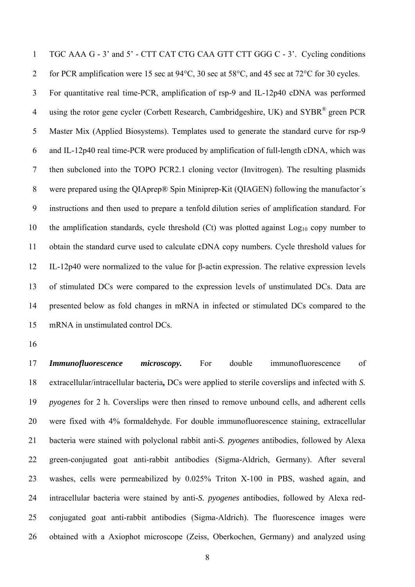1 TGC AAA G - 3' and 5' - CTT CAT CTG CAA GTT CTT GGG C - 3'. Cycling conditions 2 for PCR amplification were 15 sec at 94°C, 30 sec at 58°C, and 45 sec at 72°C for 30 cycles.

3 For quantitative real time-PCR, amplification of rsp-9 and IL-12p40 cDNA was performed 4 using the rotor gene cycler (Corbett Research, Cambridgeshire, UK) and SYBR<sup>®</sup> green PCR 5 Master Mix (Applied Biosystems). Templates used to generate the standard curve for rsp-9 6 and IL-12p40 real time-PCR were produced by amplification of full-length cDNA, which was 7 then subcloned into the TOPO PCR2.1 cloning vector (Invitrogen). The resulting plasmids 8 were prepared using the QIAprep® Spin Miniprep-Kit (QIAGEN) following the manufactor´s 9 instructions and then used to prepare a tenfold dilution series of amplification standard. For 10 the amplification standards, cycle threshold  $(Ct)$  was plotted against  $Log<sub>10</sub>$  copy number to 11 obtain the standard curve used to calculate cDNA copy numbers. Cycle threshold values for 12 IL-12p40 were normalized to the value for β-actin expression. The relative expression levels 13 of stimulated DCs were compared to the expression levels of unstimulated DCs. Data are 14 presented below as fold changes in mRNA in infected or stimulated DCs compared to the 15 mRNA in unstimulated control DCs.

16

17 *Immunofluorescence microscopy.* For double immunofluorescence of 18 extracellular/intracellular bacteria**,** DCs were applied to sterile coverslips and infected with *S.*  19 *pyogenes* for 2 h. Coverslips were then rinsed to remove unbound cells, and adherent cells 20 were fixed with 4% formaldehyde. For double immunofluorescence staining, extracellular 21 bacteria were stained with polyclonal rabbit anti-*S. pyogenes* antibodies, followed by Alexa 22 green-conjugated goat anti-rabbit antibodies (Sigma-Aldrich, Germany). After several 23 washes, cells were permeabilized by 0.025% Triton X-100 in PBS, washed again, and 24 intracellular bacteria were stained by anti-*S. pyogenes* antibodies, followed by Alexa red-25 conjugated goat anti-rabbit antibodies (Sigma-Aldrich). The fluorescence images were 26 obtained with a Axiophot microscope (Zeiss, Oberkochen, Germany) and analyzed using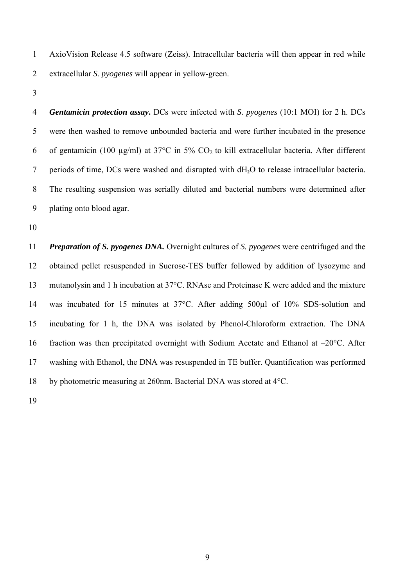1 AxioVision Release 4.5 software (Zeiss). Intracellular bacteria will then appear in red while 2 extracellular *S. pyogenes* will appear in yellow-green.

3

4 *Gentamicin protection assay***.** DCs were infected with *S. pyogenes* (10:1 MOI) for 2 h. DCs 5 were then washed to remove unbounded bacteria and were further incubated in the presence 6 of gentamicin (100  $\mu$ g/ml) at 37°C in 5% CO<sub>2</sub> to kill extracellular bacteria. After different 7 periods of time, DCs were washed and disrupted with dH**2**O to release intracellular bacteria. 8 The resulting suspension was serially diluted and bacterial numbers were determined after 9 plating onto blood agar.

10

11 *Preparation of S. pyogenes DNA.* Overnight cultures of *S. pyogenes* were centrifuged and the 12 obtained pellet resuspended in Sucrose-TES buffer followed by addition of lysozyme and 13 mutanolysin and 1 h incubation at 37°C. RNAse and Proteinase K were added and the mixture 14 was incubated for 15 minutes at 37°C. After adding 500µl of 10% SDS-solution and 15 incubating for 1 h, the DNA was isolated by Phenol-Chloroform extraction. The DNA 16 fraction was then precipitated overnight with Sodium Acetate and Ethanol at  $-20^{\circ}$ C. After 17 washing with Ethanol, the DNA was resuspended in TE buffer. Quantification was performed 18 by photometric measuring at 260nm. Bacterial DNA was stored at 4°C.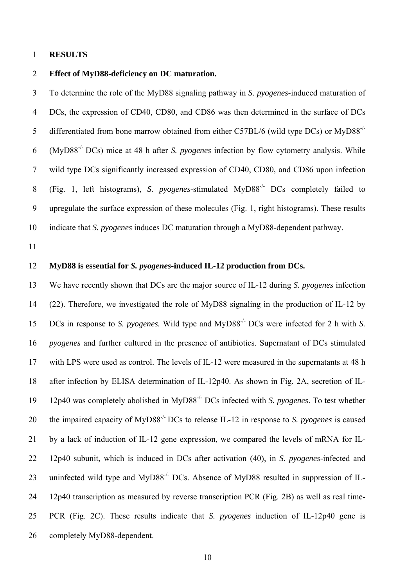### 1 **RESULTS**

### 2 **Effect of MyD88-deficiency on DC maturation.**

3 To determine the role of the MyD88 signaling pathway in *S. pyogenes*-induced maturation of 4 DCs, the expression of CD40, CD80, and CD86 was then determined in the surface of DCs 5 differentiated from bone marrow obtained from either C57BL/6 (wild type DCs) or MyD88<sup>-/-</sup> (MyD88-/- 6 DCs) mice at 48 h after *S. pyogenes* infection by flow cytometry analysis. While 7 wild type DCs significantly increased expression of CD40, CD80, and CD86 upon infection (Fig. 1, left histograms), *S. pyogenes*-stimulated MyD88-/- 8 DCs completely failed to 9 upregulate the surface expression of these molecules (Fig. 1, right histograms). These results 10 indicate that *S. pyogenes* induces DC maturation through a MyD88-dependent pathway.

11

## 12 **MyD88 is essential for** *S. pyogenes***-induced IL-12 production from DCs.**

13 We have recently shown that DCs are the major source of IL-12 during *S. pyogenes* infection 14 (22). Therefore, we investigated the role of MyD88 signaling in the production of IL-12 by 15 DCs in response to *S. pyogenes.* Wild type and MyD88<sup>-/-</sup> DCs were infected for 2 h with *S.* 16 *pyogenes* and further cultured in the presence of antibiotics. Supernatant of DCs stimulated 17 with LPS were used as control. The levels of IL-12 were measured in the supernatants at 48 h 18 after infection by ELISA determination of IL-12p40. As shown in Fig. 2A, secretion of IL-12p40 was completely abolished in MyD88-/- 19 DCs infected with *S. pyogenes*. To test whether 20 the impaired capacity of MyD88<sup>-/-</sup> DCs to release IL-12 in response to *S. pyogenes* is caused 21 by a lack of induction of IL-12 gene expression, we compared the levels of mRNA for IL-22 12p40 subunit, which is induced in DCs after activation (40), in *S. pyogenes*-infected and 23 uninfected wild type and MyD88<sup>-/-</sup> DCs. Absence of MyD88 resulted in suppression of IL-24 12p40 transcription as measured by reverse transcription PCR (Fig. 2B) as well as real time-25 PCR (Fig. 2C). These results indicate that *S. pyogenes* induction of IL-12p40 gene is 26 completely MyD88-dependent.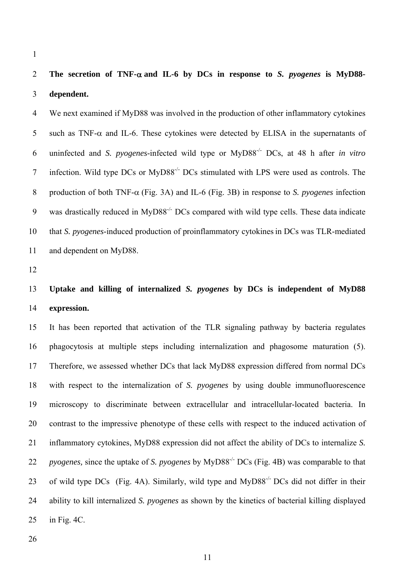1

# 2 **The secretion of TNF-**α **and IL-6 by DCs in response to** *S. pyogenes* **is MyD88-** 3 **dependent.**

4 We next examined if MyD88 was involved in the production of other inflammatory cytokines 5 such as TNF- $\alpha$  and IL-6. These cytokines were detected by ELISA in the supernatants of 6 uninfected and *S. pyogenes*-infected wild type or MyD88<sup>-/-</sup> DCs, at 48 h after *in vitro* 7 infection. Wild type DCs or MyD88<sup>-/-</sup> DCs stimulated with LPS were used as controls. The 8 production of both TNF-α (Fig. 3A) and IL-6 (Fig. 3B) in response to *S. pyogenes* infection 9 was drastically reduced in  $MvD88^{-/-}DCs$  compared with wild type cells. These data indicate 10 that *S. pyogenes*-induced production of proinflammatory cytokinesin DCs was TLR-mediated 11 and dependent on MyD88.

12

# 13 **Uptake and killing of internalized** *S. pyogenes* **by DCs is independent of MyD88**  14 **expression.**

15 It has been reported that activation of the TLR signaling pathway by bacteria regulates 16 phagocytosis at multiple steps including internalization and phagosome maturation (5). 17 Therefore, we assessed whether DCs that lack MyD88 expression differed from normal DCs 18 with respect to the internalization of *S. pyogenes* by using double immunofluorescence 19 microscopy to discriminate between extracellular and intracellular-located bacteria. In 20 contrast to the impressive phenotype of these cells with respect to the induced activation of 21 inflammatory cytokines, MyD88 expression did not affect the ability of DCs to internalize *S.*  22 *pyogenes,* since the uptake of *S. pyogenes* by MyD88<sup>-/-</sup> DCs (Fig. 4B) was comparable to that 23 of wild type DCs (Fig. 4A). Similarly, wild type and  $MvD88<sup>-/-</sup> DCs$  did not differ in their 24 ability to kill internalized *S. pyogenes* as shown by the kinetics of bacterial killing displayed 25 in Fig. 4C.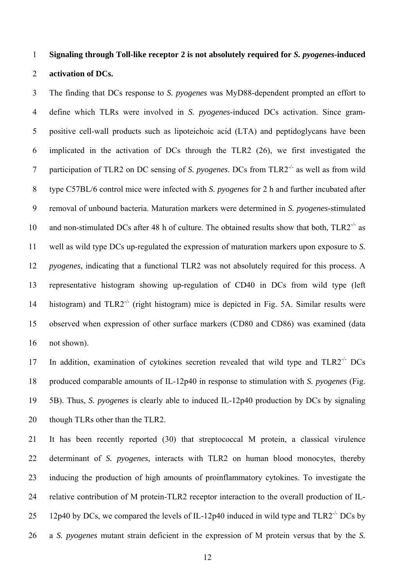## 1 **Signaling through Toll-like receptor 2 is not absolutely required for** *S. pyogenes***-induced**  2 **activation of DCs.**

3 The finding that DCs response to *S. pyogenes* was MyD88-dependent prompted an effort to 4 define which TLRs were involved in *S. pyogenes*-induced DCs activation. Since gram-5 positive cell-wall products such as lipoteichoic acid (LTA) and peptidoglycans have been 6 implicated in the activation of DCs through the TLR2 (26), we first investigated the 7 participation of TLR2 on DC sensing of *S. pyogenes*. DCs from TLR2<sup>-/-</sup> as well as from wild 8 type C57BL/6 control mice were infected with *S. pyogenes* for 2 h and further incubated after 9 removal of unbound bacteria. Maturation markers were determined in *S. pyogenes-*stimulated 10 and non-stimulated DCs after 48 h of culture. The obtained results show that both,  $TLR2^{-/2}$  as 11 well as wild type DCs up-regulated the expression of maturation markers upon exposure to *S.*  12 *pyogenes*, indicating that a functional TLR2 was not absolutely required for this process. A 13 representative histogram showing up-regulation of CD40 in DCs from wild type (left histogram) and  $TLR2^{-/-}$  (right histogram) mice is depicted in Fig. 5A. Similar results were 15 observed when expression of other surface markers (CD80 and CD86) was examined (data 16 not shown).

17 In addition, examination of cytokines secretion revealed that wild type and  $TLR2<sup>-/-</sup> DCs$ 18 produced comparable amounts of IL-12p40 in response to stimulation with *S. pyogenes* (Fig. 19 5B). Thus, *S. pyogenes* is clearly able to induced IL-12p40 production by DCs by signaling 20 though TLRs other than the TLR2.

21 It has been recently reported (30) that streptococcal M protein, a classical virulence 22 determinant of *S. pyogenes*, interacts with TLR2 on human blood monocytes, thereby 23 inducing the production of high amounts of proinflammatory cytokines. To investigate the 24 relative contribution of M protein-TLR2 receptor interaction to the overall production of IL-25 12p40 by DCs, we compared the levels of IL-12p40 induced in wild type and  $TLR2^{-/-}$  DCs by 26 a *S. pyogenes* mutant strain deficient in the expression of M protein versus that by the *S.*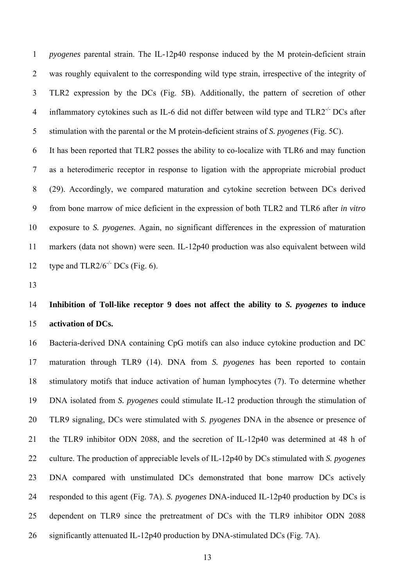1 *pyogenes* parental strain. The IL-12p40 response induced by the M protein-deficient strain 2 was roughly equivalent to the corresponding wild type strain, irrespective of the integrity of 3 TLR2 expression by the DCs (Fig. 5B). Additionally, the pattern of secretion of other 4 inflammatory cytokines such as IL-6 did not differ between wild type and  $TLR2^{-/-}DCs$  after 5 stimulation with the parental or the M protein-deficient strains of *S. pyogenes* (Fig. 5C).

6 It has been reported that TLR2 posses the ability to co-localize with TLR6 and may function 7 as a heterodimeric receptor in response to ligation with the appropriate microbial product 8 (29). Accordingly, we compared maturation and cytokine secretion between DCs derived 9 from bone marrow of mice deficient in the expression of both TLR2 and TLR6 after *in vitro* 10 exposure to *S. pyogenes*. Again, no significant differences in the expression of maturation 11 markers (data not shown) were seen. IL-12p40 production was also equivalent between wild 12 type and  $TLR2/6<sup>-/-</sup> DCs$  (Fig. 6).

13

## 14 **Inhibition of Toll-like receptor 9 does not affect the ability to** *S. pyogenes* **to induce**  15 **activation of DCs.**

16 Bacteria-derived DNA containing CpG motifs can also induce cytokine production and DC 17 maturation through TLR9 (14). DNA from *S. pyogenes* has been reported to contain 18 stimulatory motifs that induce activation of human lymphocytes (7). To determine whether 19 DNA isolated from *S. pyogenes* could stimulate IL-12 production through the stimulation of 20 TLR9 signaling, DCs were stimulated with *S. pyogenes* DNA in the absence or presence of 21 the TLR9 inhibitor ODN 2088, and the secretion of IL-12p40 was determined at 48 h of 22 culture. The production of appreciable levels of IL-12p40 by DCs stimulated with *S. pyogenes* 23 DNA compared with unstimulated DCs demonstrated that bone marrow DCs actively 24 responded to this agent (Fig. 7A). *S. pyogenes* DNA-induced IL-12p40 production by DCs is 25 dependent on TLR9 since the pretreatment of DCs with the TLR9 inhibitor ODN 2088 26 significantly attenuated IL-12p40 production by DNA-stimulated DCs (Fig. 7A).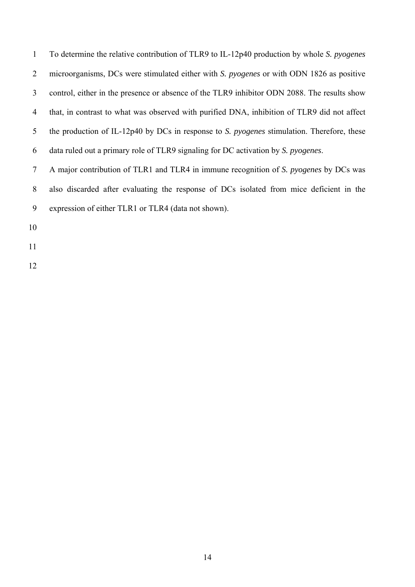1 To determine the relative contribution of TLR9 to IL-12p40 production by whole *S. pyogenes* 2 microorganisms, DCs were stimulated either with *S. pyogenes* or with ODN 1826 as positive 3 control, either in the presence or absence of the TLR9 inhibitor ODN 2088. The results show 4 that, in contrast to what was observed with purified DNA, inhibition of TLR9 did not affect 5 the production of IL-12p40 by DCs in response to *S. pyogenes* stimulation. Therefore, these 6 data ruled out a primary role of TLR9 signaling for DC activation by *S. pyogenes*.

7 A major contribution of TLR1 and TLR4 in immune recognition of *S. pyogenes* by DCs was 8 also discarded after evaluating the response of DCs isolated from mice deficient in the 9 expression of either TLR1 or TLR4 (data not shown).

- 10
- 11
- 12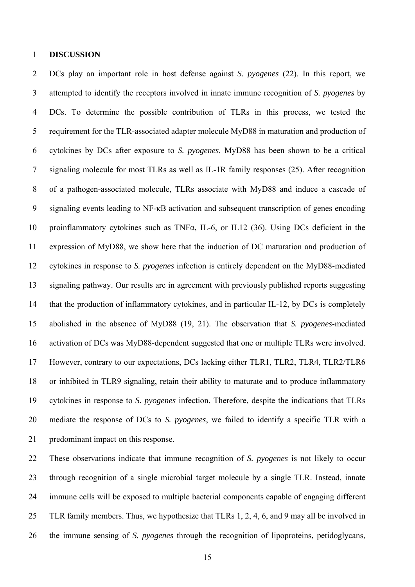### 1 **DISCUSSION**

2 DCs play an important role in host defense against *S. pyogenes* (22). In this report, we 3 attempted to identify the receptors involved in innate immune recognition of *S. pyogenes* by 4 DCs. To determine the possible contribution of TLRs in this process, we tested the 5 requirement for the TLR-associated adapter molecule MyD88 in maturation and production of 6 cytokines by DCs after exposure to *S. pyogenes.* MyD88 has been shown to be a critical 7 signaling molecule for most TLRs as well as IL-1R family responses (25). After recognition 8 of a pathogen-associated molecule, TLRs associate with MyD88 and induce a cascade of 9 signaling events leading to NF-κB activation and subsequent transcription of genes encoding 10 proinflammatory cytokines such as TNFα, IL-6, or IL12 (36). Using DCs deficient in the 11 expression of MyD88, we show here that the induction of DC maturation and production of 12 cytokines in response to *S. pyogenes* infection is entirely dependent on the MyD88-mediated 13 signaling pathway. Our results are in agreement with previously published reports suggesting 14 that the production of inflammatory cytokines, and in particular IL-12, by DCs is completely 15 abolished in the absence of MyD88 (19, 21). The observation that *S. pyogenes*-mediated 16 activation of DCs was MyD88-dependent suggested that one or multiple TLRs were involved. 17 However, contrary to our expectations, DCs lacking either TLR1, TLR2, TLR4, TLR2/TLR6 18 or inhibited in TLR9 signaling, retain their ability to maturate and to produce inflammatory 19 cytokines in response to *S. pyogenes* infection. Therefore, despite the indications that TLRs 20 mediate the response of DCs to *S. pyogenes*, we failed to identify a specific TLR with a 21 predominant impact on this response.

22 These observations indicate that immune recognition of *S. pyogenes* is not likely to occur 23 through recognition of a single microbial target molecule by a single TLR. Instead, innate 24 immune cells will be exposed to multiple bacterial components capable of engaging different 25 TLR family members. Thus, we hypothesize that TLRs 1, 2, 4, 6, and 9 may all be involved in 26 the immune sensing of *S. pyogenes* through the recognition of lipoproteins, petidoglycans,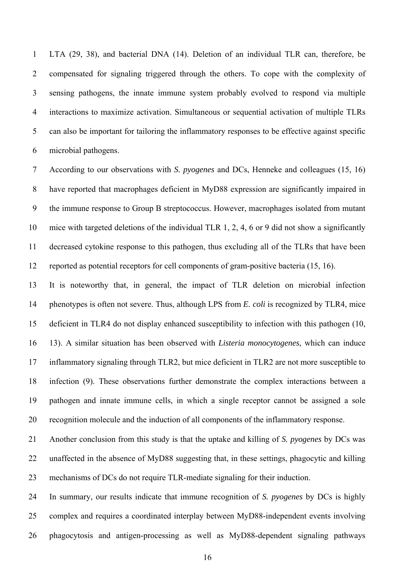1 LTA (29, 38), and bacterial DNA (14). Deletion of an individual TLR can, therefore, be 2 compensated for signaling triggered through the others. To cope with the complexity of 3 sensing pathogens, the innate immune system probably evolved to respond via multiple 4 interactions to maximize activation. Simultaneous or sequential activation of multiple TLRs 5 can also be important for tailoring the inflammatory responses to be effective against specific 6 microbial pathogens.

7 According to our observations with *S. pyogenes* and DCs, Henneke and colleagues (15, 16) 8 have reported that macrophages deficient in MyD88 expression are significantly impaired in 9 the immune response to Group B streptococcus. However, macrophages isolated from mutant 10 mice with targeted deletions of the individual TLR 1, 2, 4, 6 or 9 did not show a significantly 11 decreased cytokine response to this pathogen, thus excluding all of the TLRs that have been 12 reported as potential receptors for cell components of gram-positive bacteria (15, 16).

13 It is noteworthy that, in general, the impact of TLR deletion on microbial infection 14 phenotypes is often not severe. Thus, although LPS from *E. coli* is recognized by TLR4, mice 15 deficient in TLR4 do not display enhanced susceptibility to infection with this pathogen (10, 16 13). A similar situation has been observed with *Listeria monocytogenes*, which can induce 17 inflammatory signaling through TLR2, but mice deficient in TLR2 are not more susceptible to 18 infection (9). These observations further demonstrate the complex interactions between a 19 pathogen and innate immune cells, in which a single receptor cannot be assigned a sole 20 recognition molecule and the induction of all components of the inflammatory response.

21 Another conclusion from this study is that the uptake and killing of *S. pyogenes* by DCs was 22 unaffected in the absence of MyD88 suggesting that, in these settings, phagocytic and killing 23 mechanisms of DCs do not require TLR-mediate signaling for their induction.

24 In summary, our results indicate that immune recognition of *S. pyogenes* by DCs is highly 25 complex and requires a coordinated interplay between MyD88-independent events involving 26 phagocytosis and antigen-processing as well as MyD88-dependent signaling pathways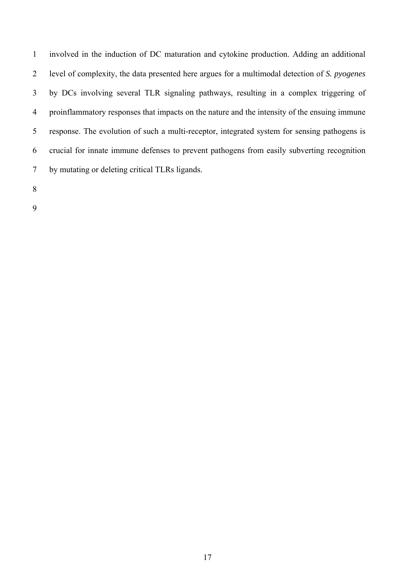1 involved in the induction of DC maturation and cytokine production. Adding an additional 2 level of complexity, the data presented here argues for a multimodal detection of *S. pyogenes* 3 by DCs involving several TLR signaling pathways, resulting in a complex triggering of 4 proinflammatory responses that impacts on the nature and the intensity of the ensuing immune 5 response. The evolution of such a multi-receptor, integrated system for sensing pathogens is 6 crucial for innate immune defenses to prevent pathogens from easily subverting recognition 7 by mutating or deleting critical TLRs ligands.

8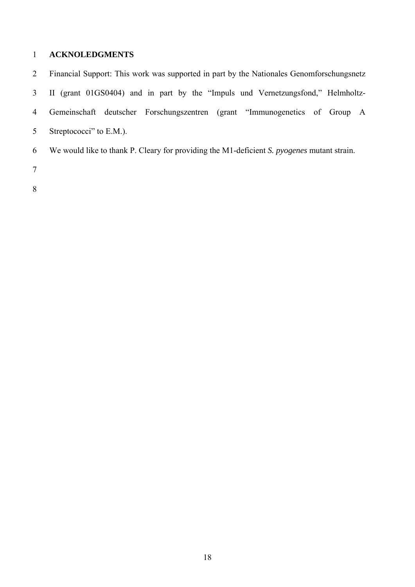## 1 **ACKNOLEDGMENTS**

2 Financial Support: This work was supported in part by the Nationales Genomforschungsnetz 3 II (grant 01GS0404) and in part by the "Impuls und Vernetzungsfond," Helmholtz-4 Gemeinschaft deutscher Forschungszentren (grant "Immunogenetics of Group A 5 Streptococci" to E.M.). 6 We would like to thank P. Cleary for providing the M1-deficient *S. pyogenes* mutant strain.

- 7
- 8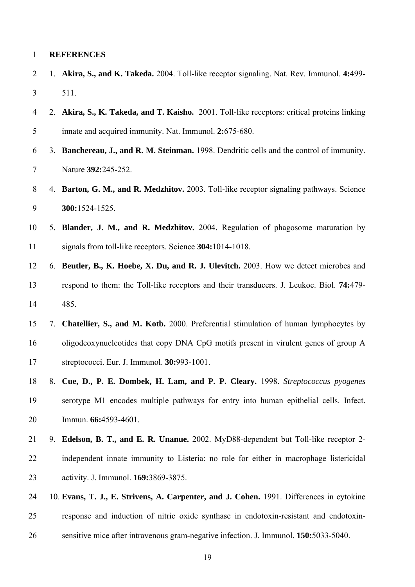### 1 **REFERENCES**

- 2 1. **Akira, S., and K. Takeda.** 2004. Toll-like receptor signaling. Nat. Rev. Immunol. **4:**499- 3 511.
- 4 2. **Akira, S., K. Takeda, and T. Kaisho.** 2001. Toll-like receptors: critical proteins linking 5 innate and acquired immunity. Nat. Immunol. **2:**675-680.
- 6 3. **Banchereau, J., and R. M. Steinman.** 1998. Dendritic cells and the control of immunity. 7 Nature **392:**245-252.
- 8 4. **Barton, G. M., and R. Medzhitov.** 2003. Toll-like receptor signaling pathways. Science 9 **300:**1524-1525.
- 10 5. **Blander, J. M., and R. Medzhitov.** 2004. Regulation of phagosome maturation by 11 signals from toll-like receptors. Science **304:**1014-1018.
- 12 6. **Beutler, B., K. Hoebe, X. Du, and R. J. Ulevitch.** 2003. How we detect microbes and 13 respond to them: the Toll-like receptors and their transducers. J. Leukoc. Biol. **74:**479- 14 485.
- 15 7. **Chatellier, S., and M. Kotb.** 2000. Preferential stimulation of human lymphocytes by 16 oligodeoxynucleotides that copy DNA CpG motifs present in virulent genes of group A 17 streptococci. Eur. J. Immunol. **30:**993-1001.
- 18 8. **Cue, D., P. E. Dombek, H. Lam, and P. P. Cleary.** 1998. *Streptococcus pyogenes* 19 serotype M1 encodes multiple pathways for entry into human epithelial cells. Infect. 20 Immun. **66:**4593-4601.
- 21 9. **Edelson, B. T., and E. R. Unanue.** 2002. MyD88-dependent but Toll-like receptor 2- 22 independent innate immunity to Listeria: no role for either in macrophage listericidal 23 activity. J. Immunol. **169:**3869-3875.
- 24 10. **Evans, T. J., E. Strivens, A. Carpenter, and J. Cohen.** 1991. Differences in cytokine 25 response and induction of nitric oxide synthase in endotoxin-resistant and endotoxin-26 sensitive mice after intravenous gram-negative infection. J. Immunol. **150:**5033-5040.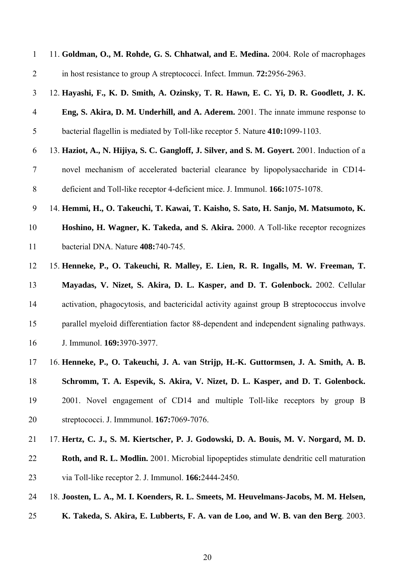| $\mathbf{1}$   | 11. Goldman, O., M. Rohde, G. S. Chhatwal, and E. Medina. 2004. Role of macrophages          |
|----------------|----------------------------------------------------------------------------------------------|
| $\overline{2}$ | in host resistance to group A streptococci. Infect. Immun. 72:2956-2963.                     |
| 3              | 12. Hayashi, F., K. D. Smith, A. Ozinsky, T. R. Hawn, E. C. Yi, D. R. Goodlett, J. K.        |
| $\overline{4}$ | Eng, S. Akira, D. M. Underhill, and A. Aderem. 2001. The innate immune response to           |
| $\mathfrak s$  | bacterial flagellin is mediated by Toll-like receptor 5. Nature 410:1099-1103.               |
| 6              | 13. Haziot, A., N. Hijiya, S. C. Gangloff, J. Silver, and S. M. Goyert. 2001. Induction of a |
| $\tau$         | novel mechanism of accelerated bacterial clearance by lipopolysaccharide in CD14-            |
| $8\,$          | deficient and Toll-like receptor 4-deficient mice. J. Immunol. 166:1075-1078.                |
| 9              | 14. Hemmi, H., O. Takeuchi, T. Kawai, T. Kaisho, S. Sato, H. Sanjo, M. Matsumoto, K.         |
| 10             | Hoshino, H. Wagner, K. Takeda, and S. Akira. 2000. A Toll-like receptor recognizes           |
| 11             | bacterial DNA. Nature 408:740-745.                                                           |
| 12             | 15. Henneke, P., O. Takeuchi, R. Malley, E. Lien, R. R. Ingalls, M. W. Freeman, T.           |
| 13             | Mayadas, V. Nizet, S. Akira, D. L. Kasper, and D. T. Golenbock. 2002. Cellular               |
| 14             | activation, phagocytosis, and bactericidal activity against group B streptococcus involve    |
| 15             | parallel myeloid differentiation factor 88-dependent and independent signaling pathways.     |
| 16             | J. Immunol. 169:3970-3977.                                                                   |
| 17             | 16. Henneke, P., O. Takeuchi, J. A. van Strijp, H.-K. Guttormsen, J. A. Smith, A. B.         |
| 18             | Schromm, T. A. Espevik, S. Akira, V. Nizet, D. L. Kasper, and D. T. Golenbock.               |
| 19             | 2001. Novel engagement of CD14 and multiple Toll-like receptors by group B                   |
| 20             | streptococci. J. Immmunol. 167:7069-7076.                                                    |
| 21             | 17. Hertz, C. J., S. M. Kiertscher, P. J. Godowski, D. A. Bouis, M. V. Norgard, M. D.        |
| 22             | Roth, and R. L. Modlin. 2001. Microbial lipopeptides stimulate dendritic cell maturation     |
| 23             | via Toll-like receptor 2. J. Immunol. 166:2444-2450.                                         |
| 24             | 18. Joosten, L. A., M. I. Koenders, R. L. Smeets, M. Heuvelmans-Jacobs, M. M. Helsen,        |
| 25             | K. Takeda, S. Akira, E. Lubberts, F. A. van de Loo, and W. B. van den Berg. 2003.            |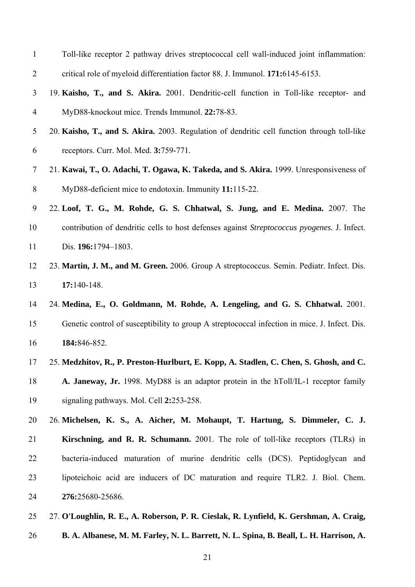| $\mathbf{1}$   | Toll-like receptor 2 pathway drives streptococcal cell wall-induced joint inflammation:             |
|----------------|-----------------------------------------------------------------------------------------------------|
| $\overline{2}$ | critical role of myeloid differentiation factor 88. J. Immunol. 171:6145-6153.                      |
| 3              | 19. Kaisho, T., and S. Akira. 2001. Dendritic-cell function in Toll-like receptor- and              |
| $\overline{4}$ | MyD88-knockout mice. Trends Immunol. 22:78-83.                                                      |
| 5              | 20. Kaisho, T., and S. Akira. 2003. Regulation of dendritic cell function through toll-like         |
| 6              | receptors. Curr. Mol. Med. 3:759-771.                                                               |
| $\overline{7}$ | 21. Kawai, T., O. Adachi, T. Ogawa, K. Takeda, and S. Akira. 1999. Unresponsiveness of              |
| 8              | MyD88-deficient mice to endotoxin. Immunity 11:115-22.                                              |
| 9              | 22. Loof, T. G., M. Rohde, G. S. Chhatwal, S. Jung, and E. Medina. 2007. The                        |
| 10             | contribution of dendritic cells to host defenses against <i>Streptococcus pyogenes</i> . J. Infect. |
| 11             | Dis. 196:1794-1803.                                                                                 |
| 12             | 23. Martin, J. M., and M. Green. 2006. Group A streptococcus. Semin. Pediatr. Infect. Dis.          |
| 13             | $17:140-148.$                                                                                       |
| 14             | 24. Medina, E., O. Goldmann, M. Rohde, A. Lengeling, and G. S. Chhatwal. 2001.                      |
| 15             | Genetic control of susceptibility to group A streptococcal infection in mice. J. Infect. Dis.       |
| 16             | 184:846-852.                                                                                        |
| 17             | 25. Medzhitov, R., P. Preston-Hurlburt, E. Kopp, A. Stadlen, C. Chen, S. Ghosh, and C.              |
| 18             | A. Janeway, Jr. 1998. MyD88 is an adaptor protein in the hToll/IL-1 receptor family                 |
| 19             | signaling pathways. Mol. Cell 2:253-258.                                                            |
| 20             | 26. Michelsen, K. S., A. Aicher, M. Mohaupt, T. Hartung, S. Dimmeler, C. J.                         |
| 21             | Kirschning, and R. R. Schumann. 2001. The role of toll-like receptors (TLRs) in                     |
| 22             | bacteria-induced maturation of murine dendritic cells (DCS). Peptidoglycan and                      |
| 23             | lipoteichoic acid are inducers of DC maturation and require TLR2. J. Biol. Chem.                    |
| 24             | 276:25680-25686.                                                                                    |
| 25             | 27. O'Loughlin, R. E., A. Roberson, P. R. Cieslak, R. Lynfield, K. Gershman, A. Craig,              |
| 26             | B. A. Albanese, M. M. Farley, N. L. Barrett, N. L. Spina, B. Beall, L. H. Harrison, A.              |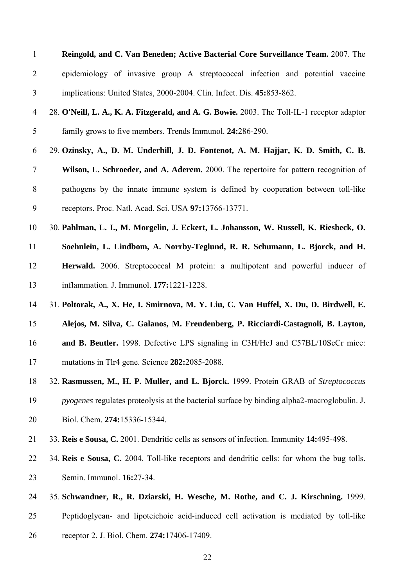| Reingold, and C. Van Beneden; Active Bacterial Core Surveillance Team. 2007. The                   |  |  |  |  |  |  |  |
|----------------------------------------------------------------------------------------------------|--|--|--|--|--|--|--|
| epidemiology of invasive group A streptococcal infection and potential vaccine                     |  |  |  |  |  |  |  |
| implications: United States, 2000-2004. Clin. Infect. Dis. 45:853-862.                             |  |  |  |  |  |  |  |
| 28. O'Neill, L. A., K. A. Fitzgerald, and A. G. Bowie. 2003. The Toll-IL-1 receptor adaptor        |  |  |  |  |  |  |  |
| family grows to five members. Trends Immunol. 24:286-290.                                          |  |  |  |  |  |  |  |
| 29. Ozinsky, A., D. M. Underhill, J. D. Fontenot, A. M. Hajjar, K. D. Smith, C. B.                 |  |  |  |  |  |  |  |
| Wilson, L. Schroeder, and A. Aderem. 2000. The repertoire for pattern recognition of               |  |  |  |  |  |  |  |
| pathogens by the innate immune system is defined by cooperation between toll-like                  |  |  |  |  |  |  |  |
| receptors. Proc. Natl. Acad. Sci. USA 97:13766-13771.                                              |  |  |  |  |  |  |  |
| 30. Pahlman, L. I., M. Morgelin, J. Eckert, L. Johansson, W. Russell, K. Riesbeck, O.              |  |  |  |  |  |  |  |
| Soehnlein, L. Lindbom, A. Norrby-Teglund, R. R. Schumann, L. Bjorck, and H.                        |  |  |  |  |  |  |  |
| Herwald. 2006. Streptococcal M protein: a multipotent and powerful inducer of                      |  |  |  |  |  |  |  |
| inflammation. J. Immunol. 177:1221-1228.                                                           |  |  |  |  |  |  |  |
| 31. Poltorak, A., X. He, I. Smirnova, M. Y. Liu, C. Van Huffel, X. Du, D. Birdwell, E.             |  |  |  |  |  |  |  |
| Alejos, M. Silva, C. Galanos, M. Freudenberg, P. Ricciardi-Castagnoli, B. Layton,                  |  |  |  |  |  |  |  |
| and B. Beutler. 1998. Defective LPS signaling in C3H/HeJ and C57BL/10ScCr mice:                    |  |  |  |  |  |  |  |
| mutations in Tlr4 gene. Science 282:2085-2088                                                      |  |  |  |  |  |  |  |
| 32. Rasmussen, M., H. P. Muller, and L. Bjorck. 1999. Protein GRAB of Streptococcus                |  |  |  |  |  |  |  |
| <i>pyogenes</i> regulates proteolysis at the bacterial surface by binding alpha2-macroglobulin. J. |  |  |  |  |  |  |  |
| Biol. Chem. 274:15336-15344.                                                                       |  |  |  |  |  |  |  |
| 33. Reis e Sousa, C. 2001. Dendritic cells as sensors of infection. Immunity 14:495-498.           |  |  |  |  |  |  |  |
| 34. Reis e Sousa, C. 2004. Toll-like receptors and dendritic cells: for whom the bug tolls.        |  |  |  |  |  |  |  |
| Semin. Immunol. 16:27-34.                                                                          |  |  |  |  |  |  |  |
| 35. Schwandner, R., R. Dziarski, H. Wesche, M. Rothe, and C. J. Kirschning. 1999.                  |  |  |  |  |  |  |  |
| Peptidoglycan- and lipoteichoic acid-induced cell activation is mediated by toll-like              |  |  |  |  |  |  |  |
|                                                                                                    |  |  |  |  |  |  |  |

26 receptor 2. J. Biol. Chem. **274:**17406-17409.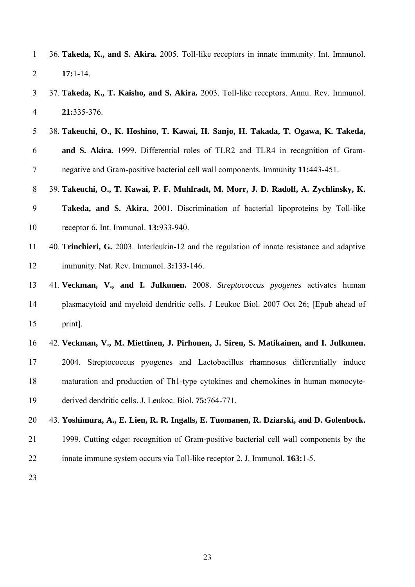|                | 36. Takeda, K., and S. Akira. 2005. Toll-like receptors in innate immunity. Int. Immunol. |  |  |  |  |  |
|----------------|-------------------------------------------------------------------------------------------|--|--|--|--|--|
| $\overline{2}$ | $17:1-14$                                                                                 |  |  |  |  |  |

- 3 37. **Takeda, K., T. Kaisho, and S. Akira.** 2003. Toll-like receptors. Annu. Rev. Immunol. 4 **21:**335-376.
- 5 38. **Takeuchi, O., K. Hoshino, T. Kawai, H. Sanjo, H. Takada, T. Ogawa, K. Takeda,**  6 **and S. Akira.** 1999. Differential roles of TLR2 and TLR4 in recognition of Gram-7 negative and Gram-positive bacterial cell wall components. Immunity **11:**443-451.

8 39. **Takeuchi, O., T. Kawai, P. F. Muhlradt, M. Morr, J. D. Radolf, A. Zychlinsky, K.**  9 **Takeda, and S. Akira.** 2001. Discrimination of bacterial lipoproteins by Toll-like 10 receptor 6. Int. Immunol. **13:**933-940.

- 11 40. **Trinchieri, G.** 2003. Interleukin-12 and the regulation of innate resistance and adaptive 12 immunity. Nat. Rev. Immunol. **3:**133-146.
- 13 41. **Veckman, V., and I. Julkunen.** 2008. *Streptococcus pyogenes* activates human 14 plasmacytoid and myeloid dendritic cells. J Leukoc Biol. 2007 Oct 26; [Epub ahead of 15 print].
- 16 42. **Veckman, V., M. Miettinen, J. Pirhonen, J. Siren, S. Matikainen, and I. Julkunen.**  17 2004. Streptococcus pyogenes and Lactobacillus rhamnosus differentially induce 18 maturation and production of Th1-type cytokines and chemokines in human monocyte-19 derived dendritic cells. J. Leukoc. Biol. **75:**764-771.
- 20 43. **Yoshimura, A., E. Lien, R. R. Ingalls, E. Tuomanen, R. Dziarski, and D. Golenbock.** 21 1999. Cutting edge: recognition of Gram-positive bacterial cell wall components by the 22 innate immune system occurs via Toll-like receptor 2. J. Immunol. **163:**1-5.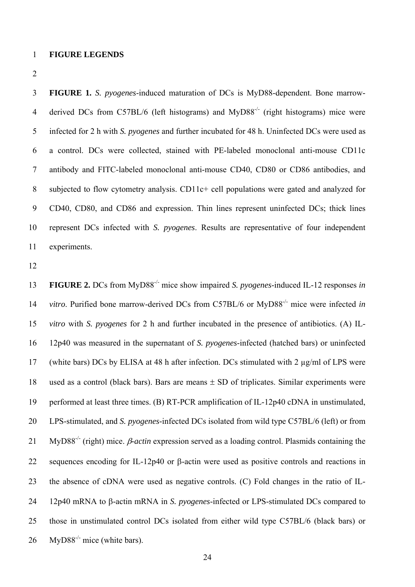### 1 **FIGURE LEGENDS**

2

3 **FIGURE 1.** *S. pyogenes*-induced maturation of DCs is MyD88-dependent. Bone marrow-4 derived DCs from C57BL/6 (left histograms) and MyD88<sup>-/-</sup> (right histograms) mice were 5 infected for 2 h with *S. pyogenes* and further incubated for 48 h. Uninfected DCs were used as 6 a control. DCs were collected, stained with PE-labeled monoclonal anti-mouse CD11c 7 antibody and FITC-labeled monoclonal anti-mouse CD40, CD80 or CD86 antibodies, and 8 subjected to flow cytometry analysis. CD11c+ cell populations were gated and analyzed for 9 CD40, CD80, and CD86 and expression. Thin lines represent uninfected DCs; thick lines 10 represent DCs infected with *S. pyogenes*. Results are representative of four independent 11 experiments.

12

**FIGURE 2.** DCs from MyD88-/- 13 mice show impaired *S. pyogenes*-induced IL-12 responses *in*  14 *vitro*. Purified bone marrow-derived DCs from C57BL/6 or MyD88<sup>-/-</sup> mice were infected *in* 15 *vitro* with *S. pyogenes* for 2 h and further incubated in the presence of antibiotics. (A) IL-16 12p40 was measured in the supernatant of *S. pyogenes*-infected (hatched bars) or uninfected 17 (white bars) DCs by ELISA at 48 h after infection. DCs stimulated with 2 µg/ml of LPS were 18 used as a control (black bars). Bars are means ± SD of triplicates. Similar experiments were 19 performed at least three times. (B) RT-PCR amplification of IL-12p40 cDNA in unstimulated, 20 LPS-stimulated, and *S. pyogenes*-infected DCs isolated from wild type C57BL/6 (left) or from 21 MyD88<sup>-/-</sup> (right) mice. *β-actin* expression served as a loading control. Plasmids containing the 22 sequences encoding for IL-12p40 or β-actin were used as positive controls and reactions in 23 the absence of cDNA were used as negative controls. (C) Fold changes in the ratio of IL-24 12p40 mRNA to β-actin mRNA in *S. pyogenes*-infected or LPS-stimulated DCs compared to 25 those in unstimulated control DCs isolated from either wild type C57BL/6 (black bars) or 26 MyD88<sup>-/-</sup> mice (white bars).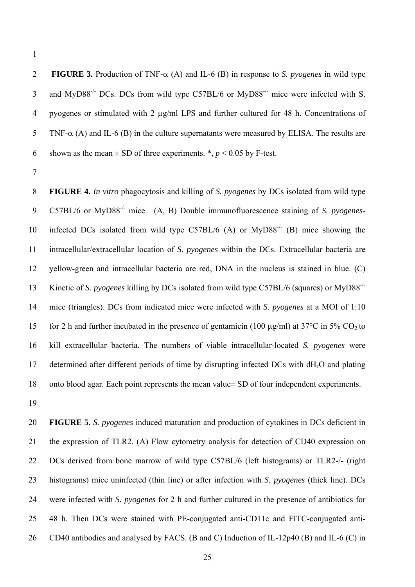1

2 **FIGURE 3.** Production of TNF-α (A) and IL-6 (B) in response to *S. pyogenes* in wild type 3 and MyD88<sup>-/-</sup> DCs. DCs from wild type C57BL/6 or MyD88<sup>-/-</sup> mice were infected with S. 4 pyogenes or stimulated with 2 µg/ml LPS and further cultured for 48 h. Concentrations of 5 TNF- $\alpha$  (A) and IL-6 (B) in the culture supernatants were measured by ELISA. The results are 6 shown as the mean  $\pm$  SD of three experiments.  $\ast$ ,  $p$  < 0.05 by F-test.

7

8 **FIGURE 4.** *In vitro* phagocytosis and killing of *S. pyogenes* by DCs isolated from wild type C57BL/6 or MyD88-/- 9 mice. (A, B) Double immunofluorescence staining of *S. pyogenes-*10 infected DCs isolated from wild type C57BL/6 (A) or  $MyD88<sup>-/-</sup>$  (B) mice showing the 11 intracellular/extracellular location of *S. pyogenes* within the DCs. Extracellular bacteria are 12 yellow-green and intracellular bacteria are red, DNA in the nucleus is stained in blue. (C) Kinetic of *S. pyogenes* killing by DCs isolated from wild type C57BL/6 (squares) or MyD88-/- 13 14 mice (triangles). DCs from indicated mice were infected with *S. pyogenes* at a MOI of 1:10 15 for 2 h and further incubated in the presence of gentamicin (100  $\mu$ g/ml) at 37°C in 5% CO<sub>2</sub> to 16 kill extracellular bacteria. The numbers of viable intracellular-located *S. pyogenes* were 17 determined after different periods of time by disrupting infected DCs with dH**2**O and plating 18 onto blood agar. Each point represents the mean value  $\pm$  SD of four independent experiments.

19

20 **FIGURE 5.** *S. pyogenes* induced maturation and production of cytokines in DCs deficient in 21 the expression of TLR2. (A) Flow cytometry analysis for detection of CD40 expression on 22 DCs derived from bone marrow of wild type C57BL/6 (left histograms) or TLR2-/- (right 23 histograms) mice uninfected (thin line) or after infection with *S. pyogenes* (thick line). DCs 24 were infected with *S. pyogenes* for 2 h and further cultured in the presence of antibiotics for 25 48 h. Then DCs were stained with PE-conjugated anti-CD11c and FITC-conjugated anti-26 CD40 antibodies and analysed by FACS. (B and C) Induction of IL-12p40 (B) and IL-6 (C) in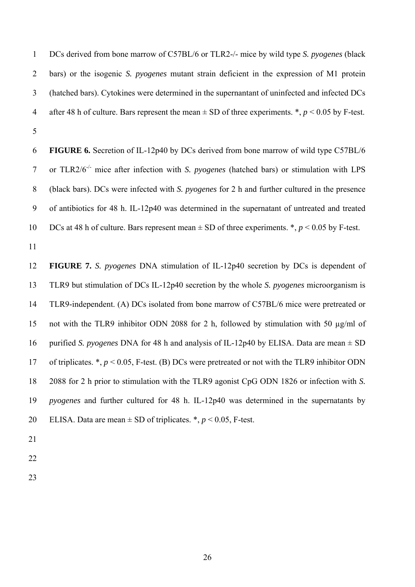1 DCs derived from bone marrow of C57BL/6 or TLR2-/- mice by wild type *S. pyogenes* (black 2 bars) or the isogenic *S. pyogenes* mutant strain deficient in the expression of M1 protein 3 (hatched bars). Cytokines were determined in the supernantant of uninfected and infected DCs 4 after 48 h of culture. Bars represent the mean  $\pm$  SD of three experiments.  $\ast$ ,  $p$  < 0.05 by F-test. 5

6 **FIGURE 6.** Secretion of IL-12p40 by DCs derived from bone marrow of wild type C57BL/6 or TLR2/6-/- 7 mice after infection with *S. pyogenes* (hatched bars) or stimulation with LPS 8 (black bars). DCs were infected with *S. pyogenes* for 2 h and further cultured in the presence 9 of antibiotics for 48 h. IL-12p40 was determined in the supernatant of untreated and treated 10 DCs at 48 h of culture. Bars represent mean  $\pm$  SD of three experiments.  $\ast$ ,  $p$  < 0.05 by F-test.

11

12 **FIGURE 7.** *S. pyogenes* DNA stimulation of IL-12p40 secretion by DCs is dependent of 13 TLR9 but stimulation of DCs IL-12p40 secretion by the whole *S. pyogenes* microorganism is 14 TLR9-independent. (A) DCs isolated from bone marrow of C57BL/6 mice were pretreated or 15 not with the TLR9 inhibitor ODN 2088 for 2 h, followed by stimulation with 50 µg/ml of 16 purified *S. pyogenes* DNA for 48 h and analysis of IL-12p40 by ELISA. Data are mean ± SD 17 of triplicates. \*, *p* < 0.05, F-test. (B) DCs were pretreated or not with the TLR9 inhibitor ODN 18 2088 for 2 h prior to stimulation with the TLR9 agonist CpG ODN 1826 or infection with *S.*  19 *pyogenes* and further cultured for 48 h. IL-12p40 was determined in the supernatants by 20 ELISA. Data are mean  $\pm$  SD of triplicates.  $*, p < 0.05$ , F-test.

- 21
- 22
- 23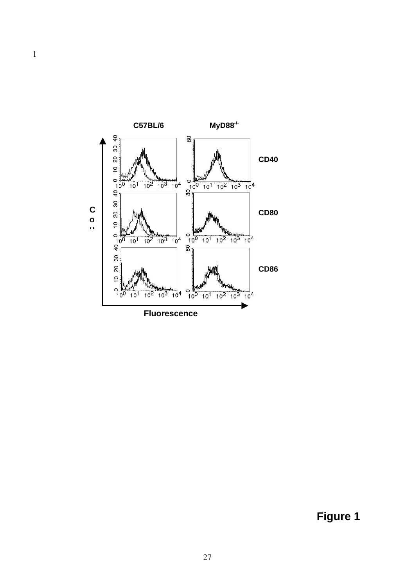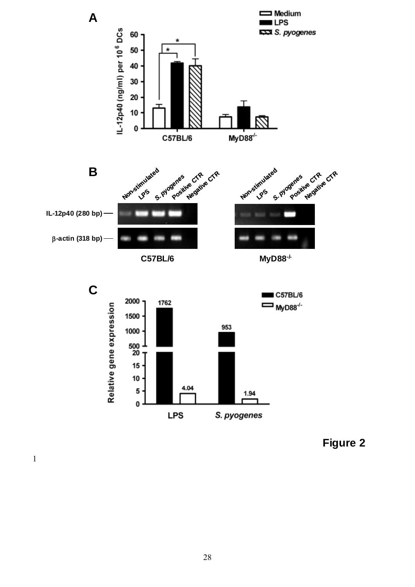



**Figure 2**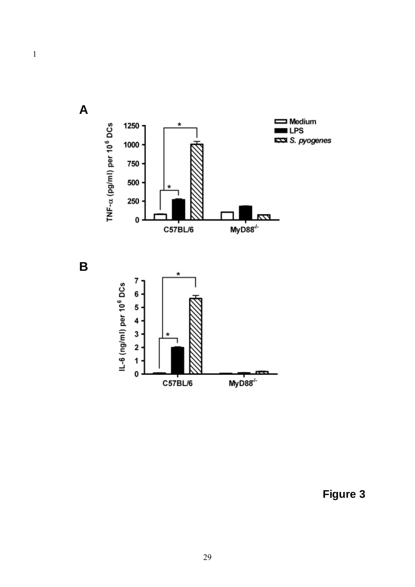$\mathbf{1}$ 

 $\mathsf{A}$ 



Figure 3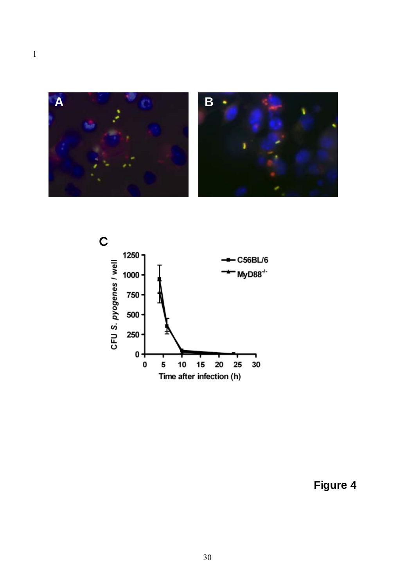



Figure 4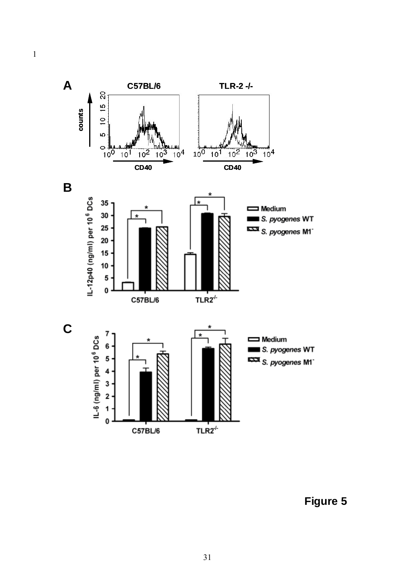

 $\mathbf{1}$ 

Figure 5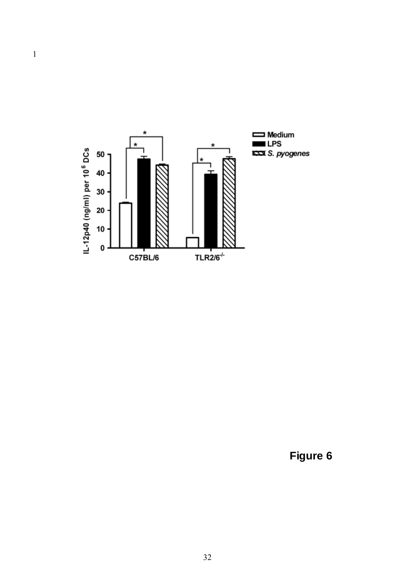

 $\overline{1}$ 

Figure 6